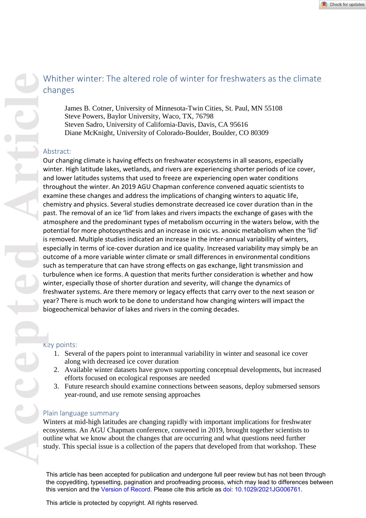# Whither winter: The altered role of winter for freshwaters as the climate changes

James B. Cotner, University of Minnesota-Twin Cities, St. Paul, MN 55108 Steve Powers, Baylor University, Waco, TX, 76798 Steven Sadro, University of California-Davis, Davis, CA 95616 Diane McKnight, University of Colorado-Boulder, Boulder, CO 80309

# Abstract:

Our changing climate is having effects on freshwater ecosystems in all seasons, especially winter. High latitude lakes, wetlands, and rivers are experiencing shorter periods of ice cover, and lower latitudes systems that used to freeze are experiencing open water conditions throughout the winter. An 2019 AGU Chapman conference convened aquatic scientists to examine these changes and address the implications of changing winters to aquatic life, chemistry and physics. Several studies demonstrate decreased ice cover duration than in the past. The removal of an ice 'lid' from lakes and rivers impacts the exchange of gases with the atmosphere and the predominant types of metabolism occurring in the waters below, with the potential for more photosynthesis and an increase in oxic vs. anoxic metabolism when the 'lid' is removed. Multiple studies indicated an increase in the inter-annual variability of winters, especially in terms of ice-cover duration and ice quality. Increased variability may simply be an outcome of a more variable winter climate or small differences in environmental conditions such as temperature that can have strong effects on gas exchange, light transmission and turbulence when ice forms. A question that merits further consideration is whether and how winter, especially those of shorter duration and severity, will change the dynamics of freshwater systems. Are there memory or legacy effects that carry over to the next season or year? There is much work to be done to understand how changing winters will impact the biogeochemical behavior of lakes and rivers in the coming decades. Whither winter: The altered role of winter for freshwaters as the climate<br>
shares B. Coner, University of Viations Newson, Tay 76998<br>
Steve Nows, Bayle University Newson, Tay 76998<br>
Steve Nows, Bayle University of Colimbia

# Key points:

- 1. Several of the papers point to interannual variability in winter and seasonal ice cover along with decreased ice cover duration
- 2. Available winter datasets have grown supporting conceptual developments, but increased efforts focused on ecological responses are needed
- 3. Future research should examine connections between seasons, deploy submersed sensors year-round, and use remote sensing approaches

# Plain language summary

Winters at mid-high latitudes are changing rapidly with important implications for freshwater ecosystems. An AGU Chapman conference, convened in 2019, brought together scientists to

This article has been accepted for publication and undergone full peer review but has not been through the copyediting, typesetting, pagination and proofreading process, which may lead to differences between this version and the [Version of Record](https://doi.org/10.1029/2021JG006761). Please cite this article as [doi: 10.1029/2021JG006761.](https://doi.org/10.1029/2021JG006761)

This article is protected by copyright. All rights reserved.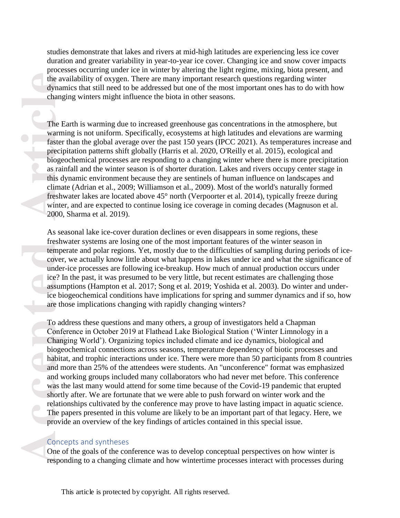studies demonstrate that lakes and rivers at mid-high latitudes are experiencing less ice cover duration and greater variability in year-to-year ice cover. Changing ice and snow cover impacts processes occurring under ice in winter by altering the light regime, mixing, biota present, and the availability of oxygen. There are many important research questions regarding winter dynamics that still need to be addressed but one of the most important ones has to do with how changing winters might influence the biota in other seasons.

The Earth is warming due to increased greenhouse gas concentrations in the atmosphere, but warming is not uniform. Specifically, ecosystems at high latitudes and elevations are warming faster than the global average over the past 150 years (IPCC 2021). As temperatures increase and precipitation patterns shift globally (Harris et al. 2020, O'Reilly et al. 2015), ecological and biogeochemical processes are responding to a changing winter where there is more precipitation as rainfall and the winter season is of shorter duration. Lakes and rivers occupy center stage in this dynamic environment because they are sentinels of human influence on landscapes and climate (Adrian et al., 2009; Williamson et al., 2009). Most of the world's naturally formed freshwater lakes are located above 45° north (Verpoorter et al. 2014), typically freeze during winter, and are expected to continue losing ice coverage in coming decades (Magnuson et al. 2000, Sharma et al. 2019).

As seasonal lake ice-cover duration declines or even disappears in some regions, these freshwater systems are losing one of the most important features of the winter season in temperate and polar regions. Yet, mostly due to the difficulties of sampling during periods of icecover, we actually know little about what happens in lakes under ice and what the significance of under-ice processes are following ice-breakup. How much of annual production occurs under ice? In the past, it was presumed to be very little, but recent estimates are challenging those assumptions (Hampton et al. 2017; Song et al. 2019; Yoshida et al. 2003). Do winter and underice biogeochemical conditions have implications for spring and summer dynamics and if so, how are those implications changing with rapidly changing winters?

**Example 19**<br> **Accept 1999**<br> **Accept 1999**<br> **Accept 1999**<br> **Accept 1999**<br> **Accept 1999**<br> **Accept 1999**<br> **Accept 1999**<br> **Accept 1999**<br> **Accept 1999**<br> **Accept 1999**<br> **Accept 1999**<br> **Accept 1999**<br> **Accept 1999**<br> **Accept 1999** To address these questions and many others, a group of investigators held a Chapman Conference in October 2019 at Flathead Lake Biological Station ('Winter Limnology in a Changing World'). Organizing topics included climate and ice dynamics, biological and biogeochemical connections across seasons, temperature dependency of biotic processes and habitat, and trophic interactions under ice. There were more than 50 participants from 8 countries and more than 25% of the attendees were students. An "unconference" format was emphasized and working groups included many collaborators who had never met before. This conference was the last many would attend for some time because of the Covid-19 pandemic that erupted shortly after. We are fortunate that we were able to push forward on winter work and the relationships cultivated by the conference may prove to have lasting impact in aquatic science. The papers presented in this volume are likely to be an important part of that legacy. Here, we provide an overview of the key findings of articles contained in this special issue.

#### Concepts and syntheses

One of the goals of the conference was to develop conceptual perspectives on how winter is responding to a changing climate and how wintertime processes interact with processes during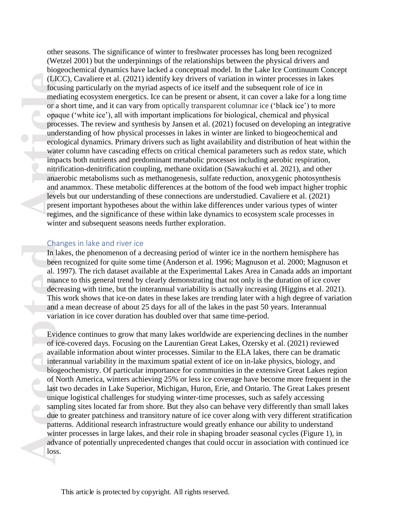**Accession and a contract of a summand a** developed a series of No last two mind and a contract of No last two unique contract of No last two mique to the contract of No last two unique sample due to patter winter advand l other seasons. The significance of winter to freshwater processes has long been recognized (Wetzel 2001) but the underpinnings of the relationships between the physical drivers and biogeochemical dynamics have lacked a conceptual model. In the Lake Ice Continuum Concept (LICC), Cavaliere et al. (2021) identify key drivers of variation in winter processes in lakes focusing particularly on the myriad aspects of ice itself and the subsequent role of ice in mediating ecosystem energetics. Ice can be present or absent, it can cover a lake for a long time or a short time, and it can vary from optically transparent columnar ice ('black ice') to more opaque ('white ice'), all with important implications for biological, chemical and physical processes. The review and synthesis by Jansen et al. (2021) focused on developing an integrative understanding of how physical processes in lakes in winter are linked to biogeochemical and ecological dynamics. Primary drivers such as light availability and distribution of heat within the water column have cascading effects on critical chemical parameters such as redox state, which impacts both nutrients and predominant metabolic processes including aerobic respiration, nitrification-denitrification coupling, methane oxidation (Sawakuchi et al. 2021), and other anaerobic metabolisms such as methanogenesis, sulfate reduction, anoxygenic photosynthesis and anammox. These metabolic differences at the bottom of the food web impact higher trophic levels but our understanding of these connections are understudied. Cavaliere et al. (2021) present important hypotheses about the within lake differences under various types of winter regimes, and the significance of these within lake dynamics to ecosystem scale processes in winter and subsequent seasons needs further exploration.

#### Changes in lake and river ice

In lakes, the phenomenon of a decreasing period of winter ice in the northern hemisphere has been recognized for quite some time (Anderson et al. 1996; Magnuson et al. 2000; Magnuson et al. 1997). The rich dataset available at the Experimental Lakes Area in Canada adds an important nuance to this general trend by clearly demonstrating that not only is the duration of ice cover decreasing with time, but the interannual variability is actually increasing (Higgins et al. 2021). This work shows that ice-on dates in these lakes are trending later with a high degree of variation and a mean decrease of about 25 days for all of the lakes in the past 50 years. Interannual variation in ice cover duration has doubled over that same time-period.

Evidence continues to grow that many lakes worldwide are experiencing declines in the number of ice-covered days. Focusing on the Laurentian Great Lakes, Ozersky et al. (2021) reviewed available information about winter processes. Similar to the ELA lakes, there can be dramatic interannual variability in the maximum spatial extent of ice on in-lake physics, biology, and biogeochemistry. Of particular importance for communities in the extensive Great Lakes region of North America, winters achieving 25% or less ice coverage have become more frequent in the last two decades in Lake Superior, Michigan, Huron, Erie, and Ontario. The Great Lakes present unique logistical challenges for studying winter-time processes, such as safely accessing sampling sites located far from shore. But they also can behave very differently than small lakes due to greater patchiness and transitory nature of ice cover along with very different stratification patterns. Additional research infrastructure would greatly enhance our ability to understand winter processes in large lakes, and their role in shaping broader seasonal cycles (Figure 1), in advance of potentially unprecedented changes that could occur in association with continued ice loss.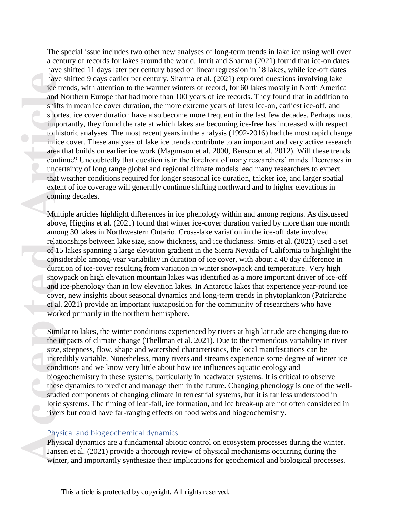**Access to the article of 15**<br> **Access to the article of 15**<br> **Access to the article of 15**<br> **Access to the article of 15**<br> **Access to the article of 15**<br> **Access to the seried cover, et al.**<br> **Access to the seried conditi** The special issue includes two other new analyses of long-term trends in lake ice using well over a century of records for lakes around the world. Imrit and Sharma (2021) found that ice-on dates have shifted 11 days later per century based on linear regression in 18 lakes, while ice-off dates have shifted 9 days earlier per century. Sharma et al. (2021) explored questions involving lake ice trends, with attention to the warmer winters of record, for 60 lakes mostly in North America and Northern Europe that had more than 100 years of ice records. They found that in addition to shifts in mean ice cover duration, the more extreme years of latest ice-on, earliest ice-off, and shortest ice cover duration have also become more frequent in the last few decades. Perhaps most importantly, they found the rate at which lakes are becoming ice-free has increased with respect to historic analyses. The most recent years in the analysis (1992-2016) had the most rapid change in ice cover. These analyses of lake ice trends contribute to an important and very active research area that builds on earlier ice work (Magnuson et al. 2000, Benson et al. 2012). Will these trends continue? Undoubtedly that question is in the forefront of many researchers' minds. Decreases in uncertainty of long range global and regional climate models lead many researchers to expect that weather conditions required for longer seasonal ice duration, thicker ice, and larger spatial extent of ice coverage will generally continue shifting northward and to higher elevations in coming decades.

Multiple articles highlight differences in ice phenology within and among regions. As discussed above, Higgins et al. (2021) found that winter ice-cover duration varied by more than one month among 30 lakes in Northwestern Ontario. Cross-lake variation in the ice-off date involved relationships between lake size, snow thickness, and ice thickness. Smits et al. (2021) used a set of 15 lakes spanning a large elevation gradient in the Sierra Nevada of California to highlight the considerable among-year variability in duration of ice cover, with about a 40 day difference in duration of ice-cover resulting from variation in winter snowpack and temperature. Very high snowpack on high elevation mountain lakes was identified as a more important driver of ice-off and ice-phenology than in low elevation lakes. In Antarctic lakes that experience year-round ice cover, new insights about seasonal dynamics and long-term trends in phytoplankton (Patriarche et al. 2021) provide an important juxtaposition for the community of researchers who have worked primarily in the northern hemisphere.

Similar to lakes, the winter conditions experienced by rivers at high latitude are changing due to the impacts of climate change (Thellman et al. 2021). Due to the tremendous variability in river size, steepness, flow, shape and watershed characteristics, the local manifestations can be incredibly variable. Nonetheless, many rivers and streams experience some degree of winter ice conditions and we know very little about how ice influences aquatic ecology and biogeochemistry in these systems, particularly in headwater systems. It is critical to observe these dynamics to predict and manage them in the future. Changing phenology is one of the wellstudied components of changing climate in terrestrial systems, but it is far less understood in lotic systems. The timing of leaf-fall, ice formation, and ice break-up are not often considered in rivers but could have far-ranging effects on food webs and biogeochemistry.

#### Physical and biogeochemical dynamics

Physical dynamics are a fundamental abiotic control on ecosystem processes during the winter. Jansen et al. (2021) provide a thorough review of physical mechanisms occurring during the winter, and importantly synthesize their implications for geochemical and biological processes.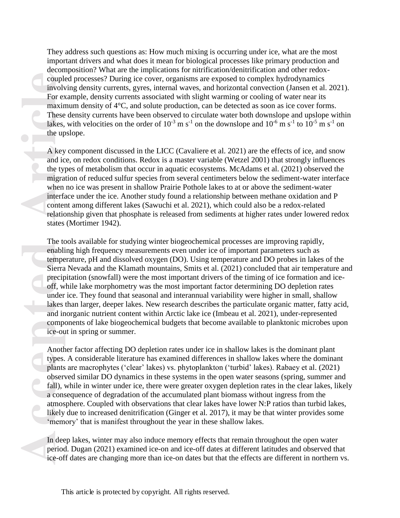They address such questions as: How much mixing is occurring under ice, what are the most important drivers and what does it mean for biological processes like primary production and decomposition? What are the implications for nitrification/denitrification and other redoxcoupled processes? During ice cover, organisms are exposed to complex hydrodynamics involving density currents, gyres, internal waves, and horizontal convection (Jansen et al. 2021). For example, density currents associated with slight warming or cooling of water near its maximum density of 4°C, and solute production, can be detected as soon as ice cover forms. These density currents have been observed to circulate water both downslope and upslope within lakes, with velocities on the order of  $10^{-3}$  m s<sup>-1</sup> on the downslope and  $10^{-6}$  m s<sup>-1</sup> to  $10^{-5}$  m s<sup>-1</sup> on the upslope.

A key component discussed in the LICC (Cavaliere et al. 2021) are the effects of ice, and snow and ice, on redox conditions. Redox is a master variable (Wetzel 2001) that strongly influences the types of metabolism that occur in aquatic ecosystems. McAdams et al. (2021) observed the migration of reduced sulfur species from several centimeters below the sediment-water interface when no ice was present in shallow Prairie Pothole lakes to at or above the sediment-water interface under the ice. Another study found a relationship between methane oxidation and P content among different lakes (Sawuchi et al. 2021), which could also be a redox-related relationship given that phosphate is released from sediments at higher rates under lowered redox states (Mortimer 1942).

**Example 1999**<br>
A key<br>
and ic<br>
the up<br>
A key<br>
and ic<br>
the ty<br>
migra<br>
when<br>
interfact<br>
conter<br>
relatic<br>
states<br>
The totenabli<br>
tempe<br>
Sierra<br>
precip<br>
off, w<br>
under<br>
lakes<br>
and in<br>
compe<br>
ice-ou<br>
Anoth<br>
types.<br>
plants<br>
obser The tools available for studying winter biogeochemical processes are improving rapidly, enabling high frequency measurements even under ice of important parameters such as temperature, pH and dissolved oxygen (DO). Using temperature and DO probes in lakes of the Sierra Nevada and the Klamath mountains, Smits et al. (2021) concluded that air temperature and precipitation (snowfall) were the most important drivers of the timing of ice formation and iceoff, while lake morphometry was the most important factor determining DO depletion rates under ice. They found that seasonal and interannual variability were higher in small, shallow lakes than larger, deeper lakes. New research describes the particulate organic matter, fatty acid, and inorganic nutrient content within Arctic lake ice (Imbeau et al. 2021), under-represented components of lake biogeochemical budgets that become available to planktonic microbes upon ice-out in spring or summer.

Another factor affecting DO depletion rates under ice in shallow lakes is the dominant plant types. A considerable literature has examined differences in shallow lakes where the dominant plants are macrophytes ('clear' lakes) vs. phytoplankton ('turbid' lakes). Rabaey et al. (2021) observed similar DO dynamics in these systems in the open water seasons (spring, summer and fall), while in winter under ice, there were greater oxygen depletion rates in the clear lakes, likely a consequence of degradation of the accumulated plant biomass without ingress from the atmosphere. Coupled with observations that clear lakes have lower N:P ratios than turbid lakes, likely due to increased denitrification (Ginger et al. 2017), it may be that winter provides some 'memory' that is manifest throughout the year in these shallow lakes.

In deep lakes, winter may also induce memory effects that remain throughout the open water period. Dugan (2021) examined ice-on and ice-off dates at different latitudes and observed that ice-off dates are changing more than ice-on dates but that the effects are different in northern vs.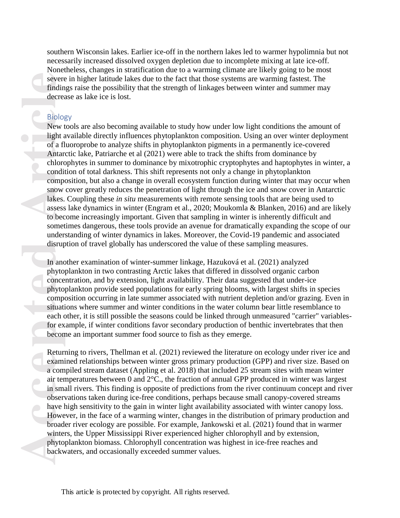southern Wisconsin lakes. Earlier ice-off in the northern lakes led to warmer hypolimnia but not necessarily increased dissolved oxygen depletion due to incomplete mixing at late ice-off. Nonetheless, changes in stratification due to a warming climate are likely going to be most severe in higher latitude lakes due to the fact that those systems are warming fastest. The findings raise the possibility that the strength of linkages between winter and summer may decrease as lake ice is lost.

# Biology

**Exercised Exercised Species**<br> **Access Specified Specified Specified Specified Specified Specified Specified Specified Specified Specified Specified Specified Specified Specified Specified Specified Specified Specified Spe** New tools are also becoming available to study how under low light conditions the amount of light available directly influences phytoplankton composition. Using an over winter deployment of a fluoroprobe to analyze shifts in phytoplankton pigments in a permanently ice-covered Antarctic lake, Patriarche et al (2021) were able to track the shifts from dominance by chlorophytes in summer to dominance by mixotrophic cryptophytes and haptophytes in winter, a condition of total darkness. This shift represents not only a change in phytoplankton composition, but also a change in overall ecosystem function during winter that may occur when snow cover greatly reduces the penetration of light through the ice and snow cover in Antarctic lakes. Coupling these *in situ* measurements with remote sensing tools that are being used to assess lake dynamics in winter (Engram et al., 2020; Moukomla & Blanken, 2016) and are likely to become increasingly important. Given that sampling in winter is inherently difficult and sometimes dangerous, these tools provide an avenue for dramatically expanding the scope of our understanding of winter dynamics in lakes. Moreover, the Covid-19 pandemic and associated disruption of travel globally has underscored the value of these sampling measures.

In another examination of winter-summer linkage, Hazuková et al. (2021) analyzed phytoplankton in two contrasting Arctic lakes that differed in dissolved organic carbon concentration, and by extension, light availability. Their data suggested that under-ice phytoplankton provide seed populations for early spring blooms, with largest shifts in species composition occurring in late summer associated with nutrient depletion and/or grazing. Even in situations where summer and winter conditions in the water column bear little resemblance to each other, it is still possible the seasons could be linked through unmeasured "carrier" variablesfor example, if winter conditions favor secondary production of benthic invertebrates that then become an important summer food source to fish as they emerge.

Returning to rivers, Thellman et al. (2021) reviewed the literature on ecology under river ice and examined relationships between winter gross primary production (GPP) and river size. Based on a compiled stream dataset (Appling et al. 2018) that included 25 stream sites with mean winter air temperatures between 0 and 2°C., the fraction of annual GPP produced in winter was largest in small rivers. This finding is opposite of predictions from the river continuum concept and river observations taken during ice-free conditions, perhaps because small canopy-covered streams have high sensitivity to the gain in winter light availability associated with winter canopy loss. However, in the face of a warming winter, changes in the distribution of primary production and broader river ecology are possible. For example, Jankowski et al. (2021) found that in warmer winters, the Upper Mississippi River experienced higher chlorophyll and by extension, phytoplankton biomass. Chlorophyll concentration was highest in ice-free reaches and backwaters, and occasionally exceeded summer values.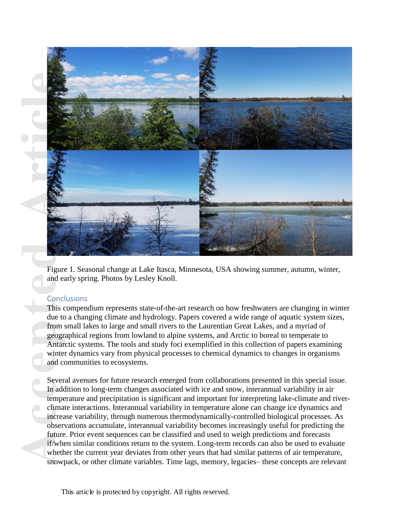

Figure 1. Seasonal change at Lake Itasca, Minnesota, USA showing summer, autumn, winter, and early spring. Photos by Lesley Knoll.

# **Conclusions**

This compendium represents state-of-the-art research on how freshwaters are changing in winter due to a changing climate and hydrology. Papers covered a wide range of aquatic system sizes, from small lakes to large and small rivers to the Laurentian Great Lakes, and a myriad of geographical regions from lowland to alpine systems, and Arctic to boreal to temperate to Antarctic systems. The tools and study foci exemplified in this collection of papers examining winter dynamics vary from physical processes to chemical dynamics to changes in organisms and communities to ecosystems.

Several avenues for future research emerged from collaborations presented in this special issue. In addition to long-term changes associated with ice and snow, interannual variability in air temperature and precipitation is significant and important for interpreting lake-climate and riverclimate interactions. Interannual variability in temperature alone can change ice dynamics and increase variability, through numerous thermodynamically-controlled biological processes. As observations accumulate, interannual variability becomes increasingly useful for predicting the future. Prior event sequences can be classified and used to weigh predictions and forecasts if/when similar conditions return to the system. Long-term records can also be used to evaluate whether the current year deviates from other years that had similar patterns of air temperature, snowpack, or other climate variables. Time lags, memory, legacies– these concepts are relevant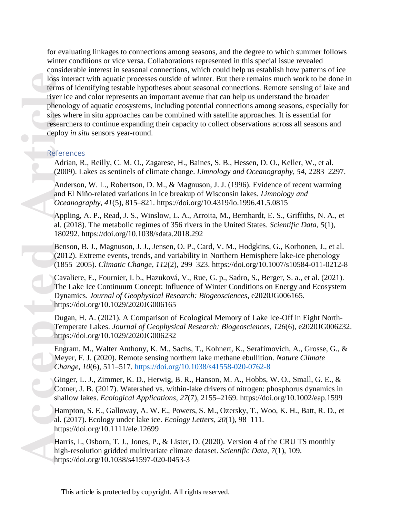**Access 1998**<br>
Access 1999<br>
Access 1999<br>
Access 1999<br>
Access 1999<br>
Access 1999<br>
And 1200<br>
And and *Oce*<br>
App al. (180<br>
Ben 120<br>
(18. Cav<br>
The Dyr http Dug<br>
Ten http Dug<br>
Ten http Dug<br>
Ten http Eng<br>
Me: Cha Gin Cot<br>
shal Ha for evaluating linkages to connections among seasons, and the degree to which summer follows winter conditions or vice versa. Collaborations represented in this special issue revealed considerable interest in seasonal connections, which could help us establish how patterns of ice loss interact with aquatic processes outside of winter. But there remains much work to be done in terms of identifying testable hypotheses about seasonal connections. Remote sensing of lake and river ice and color represents an important avenue that can help us understand the broader phenology of aquatic ecosystems, including potential connections among seasons, especially for sites where in situ approaches can be combined with satellite approaches. It is essential for researchers to continue expanding their capacity to collect observations across all seasons and deploy *in situ* sensors year-round.

### References

Adrian, R., Reilly, C. M. O., Zagarese, H., Baines, S. B., Hessen, D. O., Keller, W., et al. (2009). Lakes as sentinels of climate change. *Limnology and Oceanography*, *54*, 2283–2297.

Anderson, W. L., Robertson, D. M., & Magnuson, J. J. (1996). Evidence of recent warming and El Niño-related variations in ice breakup of Wisconsin lakes. *Limnology and Oceanography*, *41*(5), 815–821. https://doi.org/10.4319/lo.1996.41.5.0815

Appling, A. P., Read, J. S., Winslow, L. A., Arroita, M., Bernhardt, E. S., Griffiths, N. A., et al. (2018). The metabolic regimes of 356 rivers in the United States. *Scientific Data*, *5*(1), 180292. https://doi.org/10.1038/sdata.2018.292

Benson, B. J., Magnuson, J. J., Jensen, O. P., Card, V. M., Hodgkins, G., Korhonen, J., et al. (2012). Extreme events, trends, and variability in Northern Hemisphere lake-ice phenology (1855–2005). *Climatic Change*, *112*(2), 299–323. https://doi.org/10.1007/s10584-011-0212-8

Cavaliere, E., Fournier, I. b., Hazuková, V., Rue, G. p., Sadro, S., Berger, S. a., et al. (2021). The Lake Ice Continuum Concept: Influence of Winter Conditions on Energy and Ecosystem Dynamics. *Journal of Geophysical Research: Biogeosciences*, e2020JG006165. https://doi.org/10.1029/2020JG006165

Dugan, H. A. (2021). A Comparison of Ecological Memory of Lake Ice-Off in Eight North-Temperate Lakes. *Journal of Geophysical Research: Biogeosciences*, *126*(6), e2020JG006232. https://doi.org/10.1029/2020JG006232

Engram, M., Walter Anthony, K. M., Sachs, T., Kohnert, K., Serafimovich, A., Grosse, G., & Meyer, F. J. (2020). Remote sensing northern lake methane ebullition. *Nature Climate Change*, *10*(6), 511–517.<https://doi.org/10.1038/s41558-020-0762-8>

Ginger, L. J., Zimmer, K. D., Herwig, B. R., Hanson, M. A., Hobbs, W. O., Small, G. E., & Cotner, J. B. (2017). Watershed vs. within-lake drivers of nitrogen: phosphorus dynamics in shallow lakes. *Ecological Applications*, *27*(7), 2155–2169. https://doi.org/10.1002/eap.1599

Hampton, S. E., Galloway, A. W. E., Powers, S. M., Ozersky, T., Woo, K. H., Batt, R. D., et al. (2017). Ecology under lake ice. *Ecology Letters*, *20*(1), 98–111. https://doi.org/10.1111/ele.12699

Harris, I., Osborn, T. J., Jones, P., & Lister, D. (2020). Version 4 of the CRU TS monthly high-resolution gridded multivariate climate dataset. *Scientific Data*, *7*(1), 109. https://doi.org/10.1038/s41597-020-0453-3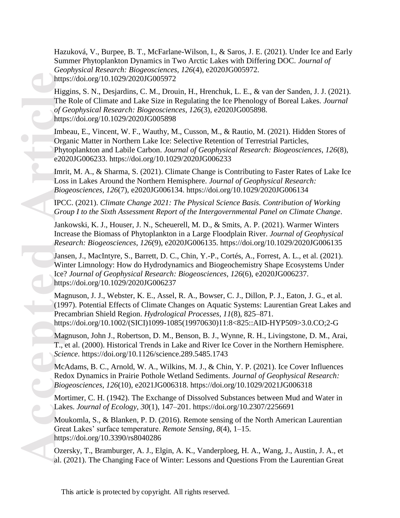Hazuková, V., Burpee, B. T., McFarlane-Wilson, I., & Saros, J. E. (2021). Under Ice and Early Summer Phytoplankton Dynamics in Two Arctic Lakes with Differing DOC. *Journal of Geophysical Research: Biogeosciences*, *126*(4), e2020JG005972. https://doi.org/10.1029/2020JG005972

Higgins, S. N., Desjardins, C. M., Drouin, H., Hrenchuk, L. E., & van der Sanden, J. J. (2021). The Role of Climate and Lake Size in Regulating the Ice Phenology of Boreal Lakes. *Journal of Geophysical Research: Biogeosciences*, *126*(3), e2020JG005898. https://doi.org/10.1029/2020JG005898

Accepted Magnetics Control<br>
Article<br>
Article<br>
Article<br>
Article<br>
Article<br>
Article<br>
Article<br>
Article<br>
Article<br>
Article<br>
Article<br>
Article<br>
Article<br>
Article<br>
Article<br>
Article<br>
Article<br>
Article<br>
Article<br>
Article<br>
Article<br>
Artic Imbeau, E., Vincent, W. F., Wauthy, M., Cusson, M., & Rautio, M. (2021). Hidden Stores of Organic Matter in Northern Lake Ice: Selective Retention of Terrestrial Particles, Phytoplankton and Labile Carbon. *Journal of Geophysical Research: Biogeosciences*, *126*(8), e2020JG006233. https://doi.org/10.1029/2020JG006233

Imrit, M. A., & Sharma, S. (2021). Climate Change is Contributing to Faster Rates of Lake Ice Loss in Lakes Around the Northern Hemisphere. *Journal of Geophysical Research: Biogeosciences*, *126*(7), e2020JG006134. https://doi.org/10.1029/2020JG006134

IPCC. (2021). *Climate Change 2021: The Physical Science Basis. Contribution of Working Group I to the Sixth Assessment Report of the Intergovernmental Panel on Climate Change*.

Jankowski, K. J., Houser, J. N., Scheuerell, M. D., & Smits, A. P. (2021). Warmer Winters Increase the Biomass of Phytoplankton in a Large Floodplain River. *Journal of Geophysical Research: Biogeosciences*, *126*(9), e2020JG006135. https://doi.org/10.1029/2020JG006135

Jansen, J., MacIntyre, S., Barrett, D. C., Chin, Y.-P., Cortés, A., Forrest, A. L., et al. (2021). Winter Limnology: How do Hydrodynamics and Biogeochemistry Shape Ecosystems Under Ice? *Journal of Geophysical Research: Biogeosciences*, *126*(6), e2020JG006237. https://doi.org/10.1029/2020JG006237

Magnuson, J. J., Webster, K. E., Assel, R. A., Bowser, C. J., Dillon, P. J., Eaton, J. G., et al. (1997). Potential Effects of Climate Changes on Aquatic Systems: Laurentian Great Lakes and Precambrian Shield Region. *Hydrological Processes*, *11*(8), 825–871. https://doi.org/10.1002/(SICI)1099-1085(19970630)11:8<825::AID-HYP509>3.0.CO;2-G

Magnuson, John J., Robertson, D. M., Benson, B. J., Wynne, R. H., Livingstone, D. M., Arai, T., et al. (2000). Historical Trends in Lake and River Ice Cover in the Northern Hemisphere. *Science*. https://doi.org/10.1126/science.289.5485.1743

McAdams, B. C., Arnold, W. A., Wilkins, M. J., & Chin, Y. P. (2021). Ice Cover Influences Redox Dynamics in Prairie Pothole Wetland Sediments. *Journal of Geophysical Research: Biogeosciences*, *126*(10), e2021JG006318. https://doi.org/10.1029/2021JG006318

Mortimer, C. H. (1942). The Exchange of Dissolved Substances between Mud and Water in Lakes. *Journal of Ecology*, *30*(1), 147–201. https://doi.org/10.2307/2256691

Moukomla, S., & Blanken, P. D. (2016). Remote sensing of the North American Laurentian Great Lakes' surface temperature. *Remote Sensing*, *8*(4), 1–15. https://doi.org/10.3390/rs8040286

Ozersky, T., Bramburger, A. J., Elgin, A. K., Vanderploeg, H. A., Wang, J., Austin, J. A., et al. (2021). The Changing Face of Winter: Lessons and Questions From the Laurentian Great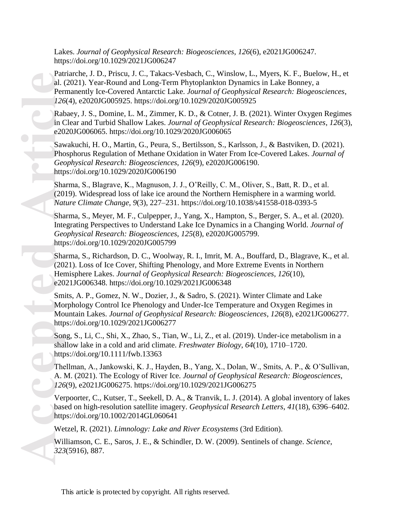Lakes. *Journal of Geophysical Research: Biogeosciences*, *126*(6), e2021JG006247. https://doi.org/10.1029/2021JG006247

**Pau**<br>
al. (Perr 126<br>
Rat in C<br>
e20<br>
Saw Pho Gee http<br>
Sha (20)<br>
Mat Sha Inte Gee http<br>
Sha Inte Gee http<br>
Sha Inte Gee http<br>
Sha Inte Gee http<br>
Sha Inte Gee http<br>
Sha Inte Gee http<br>
Son shal http<br>
The A. I<br>
The A. I<br>
126<br> Patriarche, J. D., Priscu, J. C., Takacs-Vesbach, C., Winslow, L., Myers, K. F., Buelow, H., et al. (2021). Year-Round and Long-Term Phytoplankton Dynamics in Lake Bonney, a Permanently Ice-Covered Antarctic Lake. *Journal of Geophysical Research: Biogeosciences*, *126*(4), e2020JG005925. https://doi.org/10.1029/2020JG005925

Rabaey, J. S., Domine, L. M., Zimmer, K. D., & Cotner, J. B. (2021). Winter Oxygen Regimes in Clear and Turbid Shallow Lakes. *Journal of Geophysical Research: Biogeosciences*, *126*(3), e2020JG006065. https://doi.org/10.1029/2020JG006065

Sawakuchi, H. O., Martin, G., Peura, S., Bertilsson, S., Karlsson, J., & Bastviken, D. (2021). Phosphorus Regulation of Methane Oxidation in Water From Ice-Covered Lakes. *Journal of Geophysical Research: Biogeosciences*, *126*(9), e2020JG006190. https://doi.org/10.1029/2020JG006190

Sharma, S., Blagrave, K., Magnuson, J. J., O'Reilly, C. M., Oliver, S., Batt, R. D., et al. (2019). Widespread loss of lake ice around the Northern Hemisphere in a warming world. *Nature Climate Change*, *9*(3), 227–231. https://doi.org/10.1038/s41558-018-0393-5

Sharma, S., Meyer, M. F., Culpepper, J., Yang, X., Hampton, S., Berger, S. A., et al. (2020). Integrating Perspectives to Understand Lake Ice Dynamics in a Changing World. *Journal of Geophysical Research: Biogeosciences*, *125*(8), e2020JG005799. https://doi.org/10.1029/2020JG005799

Sharma, S., Richardson, D. C., Woolway, R. I., Imrit, M. A., Bouffard, D., Blagrave, K., et al. (2021). Loss of Ice Cover, Shifting Phenology, and More Extreme Events in Northern Hemisphere Lakes. *Journal of Geophysical Research: Biogeosciences*, *126*(10), e2021JG006348. https://doi.org/10.1029/2021JG006348

Smits, A. P., Gomez, N. W., Dozier, J., & Sadro, S. (2021). Winter Climate and Lake Morphology Control Ice Phenology and Under-Ice Temperature and Oxygen Regimes in Mountain Lakes. *Journal of Geophysical Research: Biogeosciences*, *126*(8), e2021JG006277. https://doi.org/10.1029/2021JG006277

Song, S., Li, C., Shi, X., Zhao, S., Tian, W., Li, Z., et al. (2019). Under-ice metabolism in a shallow lake in a cold and arid climate. *Freshwater Biology*, *64*(10), 1710–1720. https://doi.org/10.1111/fwb.13363

Thellman, A., Jankowski, K. J., Hayden, B., Yang, X., Dolan, W., Smits, A. P., & O'Sullivan, A. M. (2021). The Ecology of River Ice. *Journal of Geophysical Research: Biogeosciences*, *126*(9), e2021JG006275. https://doi.org/10.1029/2021JG006275

Verpoorter, C., Kutser, T., Seekell, D. A., & Tranvik, L. J. (2014). A global inventory of lakes based on high-resolution satellite imagery. *Geophysical Research Letters*, *41*(18), 6396–6402. https://doi.org/10.1002/2014GL060641

Wetzel, R. (2021). *Limnology: Lake and River Ecosystems* (3rd Edition).

Williamson, C. E., Saros, J. E., & Schindler, D. W. (2009). Sentinels of change. *Science*, *323*(5916), 887.